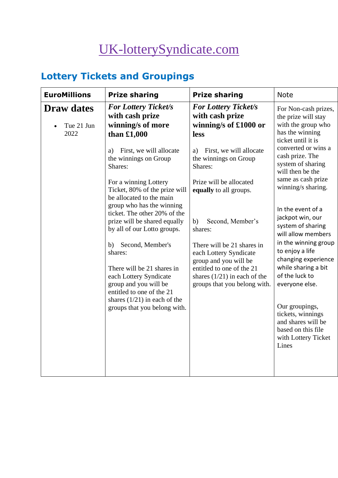# [UK-lotterySyndicate.com](http://www.uk-lotterysyndicate.com/)

# **Lottery Tickets and Groupings**

| <b>EuroMillions</b>                     | <b>Prize sharing</b>                                                                                            | <b>Prize sharing</b>                                                                                       | <b>Note</b>                                                                                                                                                                                                                               |
|-----------------------------------------|-----------------------------------------------------------------------------------------------------------------|------------------------------------------------------------------------------------------------------------|-------------------------------------------------------------------------------------------------------------------------------------------------------------------------------------------------------------------------------------------|
| <b>Draw dates</b><br>Tue 21 Jun<br>2022 | <b>For Lottery Ticket/s</b><br>with cash prize<br>winning/s of more<br>than $£1,000$                            | <b>For Lottery Ticket/s</b><br>with cash prize<br>winning/s of £1000 or<br>less                            | For Non-cash prizes,<br>the prize will stay<br>with the group who<br>has the winning<br>ticket until it is<br>converted or wins a<br>cash prize. The<br>system of sharing<br>will then be the<br>same as cash prize<br>winning/s sharing. |
|                                         | First, we will allocate<br>a)<br>the winnings on Group<br>Shares:                                               | First, we will allocate<br>a)<br>the winnings on Group<br>Shares:                                          |                                                                                                                                                                                                                                           |
|                                         | For a winning Lottery<br>Ticket, 80% of the prize will<br>be allocated to the main<br>group who has the winning | Prize will be allocated<br>equally to all groups.                                                          |                                                                                                                                                                                                                                           |
|                                         | ticket. The other 20% of the<br>prize will be shared equally<br>by all of our Lotto groups.                     | Second, Member's<br>b)<br>shares:                                                                          | In the event of a<br>jackpot win, our<br>system of sharing<br>will allow members                                                                                                                                                          |
|                                         | Second, Member's<br>b)<br>shares:<br>There will be 21 shares in                                                 | There will be 21 shares in<br>each Lottery Syndicate<br>group and you will be<br>entitled to one of the 21 | in the winning group<br>to enjoy a life<br>changing experience<br>while sharing a bit                                                                                                                                                     |
|                                         | each Lottery Syndicate<br>group and you will be<br>entitled to one of the 21                                    | shares $(1/21)$ in each of the<br>groups that you belong with.                                             | of the luck to<br>everyone else.                                                                                                                                                                                                          |
|                                         | shares $(1/21)$ in each of the<br>groups that you belong with.                                                  |                                                                                                            | Our groupings,<br>tickets, winnings<br>and shares will be<br>based on this file<br>with Lottery Ticket<br>Lines                                                                                                                           |
|                                         |                                                                                                                 |                                                                                                            |                                                                                                                                                                                                                                           |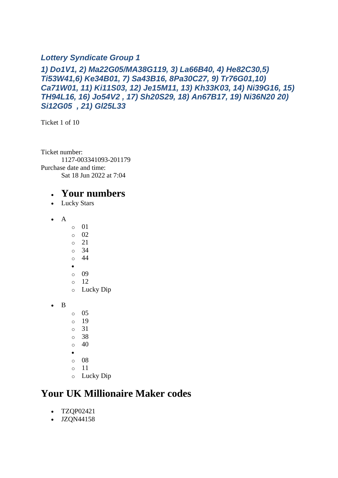#### *Lottery Syndicate Group 1*

#### *1) Do1V1, 2) Ma22G05/MA38G119, 3) La66B40, 4) He82C30,5) Ti53W41,6) Ke34B01, 7) Sa43B16, 8Pa30C27, 9) Tr76G01,10) Ca71W01, 11) Ki11S03, 12) Je15M11, 13) Kh33K03, 14) Ni39G16, 15) TH94L16, 16) Jo54V2 , 17) Sh20S29, 18) An67B17, 19) Ni36N20 20) Si12G05 , 21) Gl25L33*

Ticket 1 of 10

Ticket number: 1127-003341093-201179 Purchase date and time: Sat 18 Jun 2022 at 7:04

#### • **Your numbers**

- Lucky Stars
- A
- $\circ$  01
- $\circ$  02
- o 21
- o 34
- o 44 •
- o 09
- $\circ$  12
- o Lucky Dip
- B
- o 05
- o 19
- o 31
- o 38
- $\circ$  40
- •
- o 08
- o 11
- o Lucky Dip

### **Your UK Millionaire Maker codes**

- TZQP02421
- JZQN44158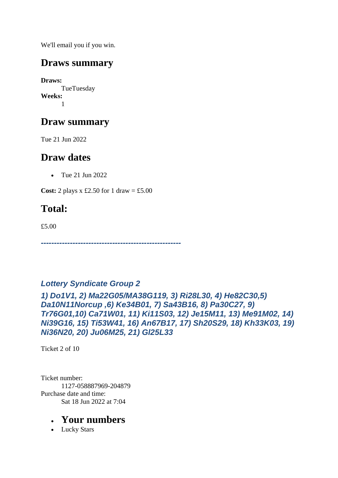We'll email you if you win.

### **Draws summary**

**Draws:** TueTuesday **Weeks:** 1

# **Draw summary**

Tue 21 Jun 2022

## **Draw dates**

• Tue 21 Jun 2022

**Cost:** 2 plays x £2.50 for 1 draw = £5.00

# **Total:**

£5.00

*-----------------------------------------------------*

#### *Lottery Syndicate Group 2*

*1) Do1V1, 2) Ma22G05/MA38G119, 3) Ri28L30, 4) He82C30,5) Da10N11Norcup ,6) Ke34B01, 7) Sa43B16, 8) Pa30C27, 9) Tr76G01,10) Ca71W01, 11) Ki11S03, 12) Je15M11, 13) Me91M02, 14) Ni39G16, 15) Ti53W41, 16) An67B17, 17) Sh20S29, 18) Kh33K03, 19) Ni36N20, 20) Ju06M25, 21) Gl25L33*

Ticket 2 of 10

Ticket number: 1127-058887969-204879 Purchase date and time: Sat 18 Jun 2022 at 7:04

### • **Your numbers**

• Lucky Stars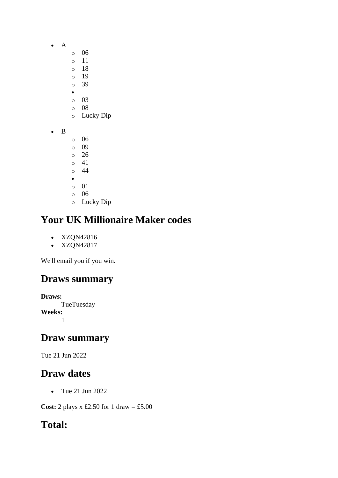- A
- o 06
- o 11
- o 18
- o 19 o 39
- •
- o 03
- o 08
- o Lucky Dip
- B
- o 06
- o 09 o 26
- o 41
- o 44
- •
- o 01
- o 06
- o Lucky Dip

- XZQN42816
- XZQN42817

We'll email you if you win.

# **Draws summary**

**Draws: TueTuesday Weeks:** 1

# **Draw summary**

Tue 21 Jun 2022

# **Draw dates**

• Tue 21 Jun 2022

**Cost:** 2 plays x £2.50 for 1 draw = £5.00

# **Total:**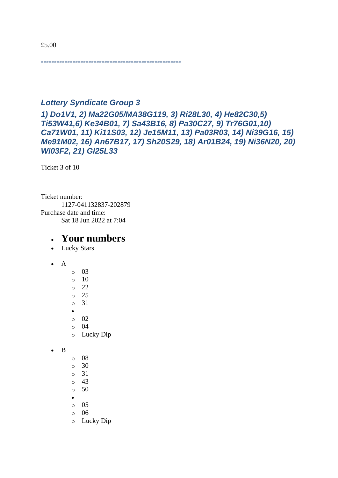*-----------------------------------------------------*

#### *Lottery Syndicate Group 3*

*1) Do1V1, 2) Ma22G05/MA38G119, 3) Ri28L30, 4) He82C30,5) Ti53W41,6) Ke34B01, 7) Sa43B16, 8) Pa30C27, 9) Tr76G01,10) Ca71W01, 11) Ki11S03, 12) Je15M11, 13) Pa03R03, 14) Ni39G16, 15) Me91M02, 16) An67B17, 17) Sh20S29, 18) Ar01B24, 19) Ni36N20, 20) Wi03F2, 21) Gl25L33*

Ticket 3 of 10

Ticket number: 1127-041132837-202879 Purchase date and time: Sat 18 Jun 2022 at 7:04

#### • **Your numbers**

- Lucky Stars
- A
- o 03  $\circ$  10 o 22 o 25 o 31 • o 02  $\circ$  04 o Lucky Dip

• B

- o 08
- o 30
- o 31
- $\circ$  43
- o 50
- o 05
- o 06
- o Lucky Dip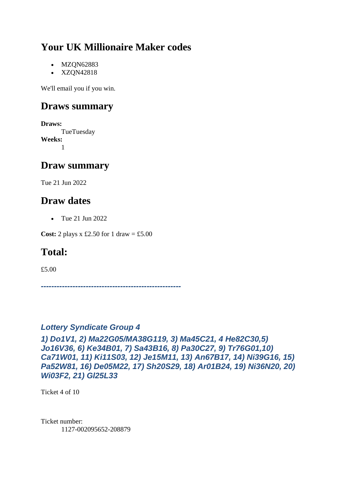- MZQN62883
- XZQN42818

We'll email you if you win.

### **Draws summary**

**Draws:** TueTuesday **Weeks:** 1

### **Draw summary**

Tue 21 Jun 2022

### **Draw dates**

• Tue 21 Jun 2022

**Cost:** 2 plays x £2.50 for 1 draw = £5.00

## **Total:**

£5.00

*-----------------------------------------------------*

#### *Lottery Syndicate Group 4*

*1) Do1V1, 2) Ma22G05/MA38G119, 3) Ma45C21, 4 He82C30,5) Jo16V36, 6) Ke34B01, 7) Sa43B16, 8) Pa30C27, 9) Tr76G01,10) Ca71W01, 11) Ki11S03, 12) Je15M11, 13) An67B17, 14) Ni39G16, 15) Pa52W81, 16) De05M22, 17) Sh20S29, 18) Ar01B24, 19) Ni36N20, 20) Wi03F2, 21) Gl25L33*

Ticket 4 of 10

Ticket number: 1127-002095652-208879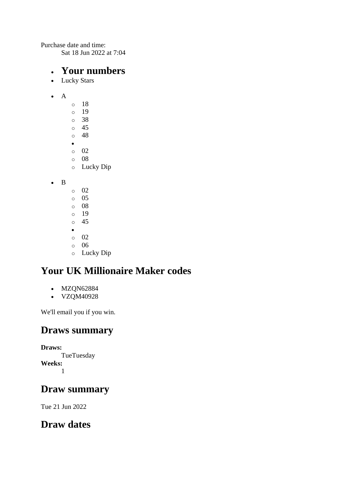Purchase date and time:

Sat 18 Jun 2022 at 7:04

#### • **Your numbers**

- Lucky Stars
- A
- o 18 o 19 o 38 o 45 o 48 • o 02 o 08 o Lucky Dip
- B
- $\circ$  02
- o 05
- o 08
- o 19 o 45
- •
- o 02
- o 06
- o Lucky Dip

# **Your UK Millionaire Maker codes**

- MZQN62884
- VZQM40928

We'll email you if you win.

### **Draws summary**

**Draws:**

**TueTuesday Weeks:** 1

## **Draw summary**

Tue 21 Jun 2022

## **Draw dates**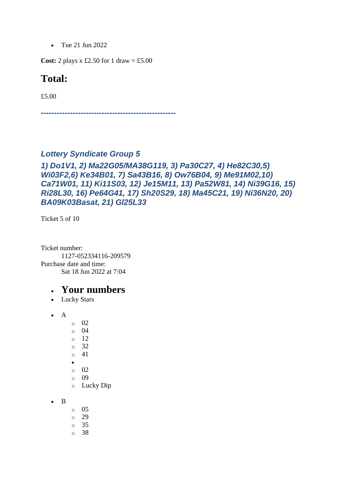• Tue 21 Jun 2022

**Cost:** 2 plays x £2.50 for 1 draw = £5.00

### **Total:**

£5.00

*---------------------------------------------------*

#### *Lottery Syndicate Group 5*

#### *1) Do1V1, 2) Ma22G05/MA38G119, 3) Pa30C27, 4) He82C30,5) Wi03F2,6) Ke34B01, 7) Sa43B16, 8) Ow76B04, 9) Me91M02,10) Ca71W01, 11) Ki11S03, 12) Je15M11, 13) Pa52W81, 14) Ni39G16, 15) Ri28L30, 16) Pe64G41, 17) Sh20S29, 18) Ma45C21, 19) Ni36N20, 20) BA09K03Basat, 21) Gl25L33*

Ticket 5 of 10

Ticket number: 1127-052334116-209579 Purchase date and time: Sat 18 Jun 2022 at 7:04

- Lucky Stars
- A
- o 02
- o 04
- o 12
- o 32
- o 41
- •
- $\circ$  02 o 09
- o Lucky Dip
- B
- o 05 o 29 o 35
- 
- o 38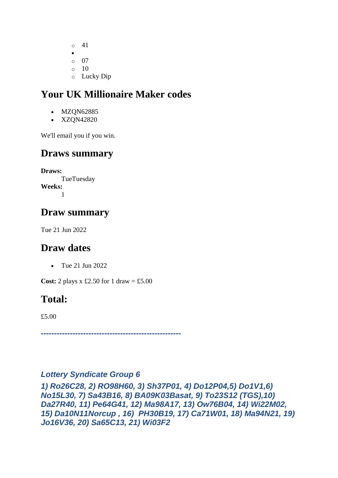o 41 • o 07  $\circ$  10 o Lucky Dip

# **Your UK Millionaire Maker codes**

- MZON62885
- XZQN42820

We'll email you if you win.

### **Draws summary**

**Draws: TueTuesday Weeks:** 1

## **Draw summary**

Tue 21 Jun 2022

### **Draw dates**

• Tue 21 Jun 2022

**Cost:** 2 plays x £2.50 for 1 draw = £5.00

## **Total:**

£5.00

*-----------------------------------------------------*

#### *Lottery Syndicate Group 6*

*1) Ro26C28, 2) RO98H60, 3) Sh37P01, 4) Do12P04,5) Do1V1,6) No15L30, 7) Sa43B16, 8) BA09K03Basat, 9) To23S12 (TGS),10) Da27R40, 11) Pe64G41, 12) Ma98A17, 13) Ow76B04, 14) Wi22M02, 15) Da10N11Norcup , 16) PH30B19, 17) Ca71W01, 18) Ma94N21, 19) Jo16V36, 20) Sa65C13, 21) Wi03F2*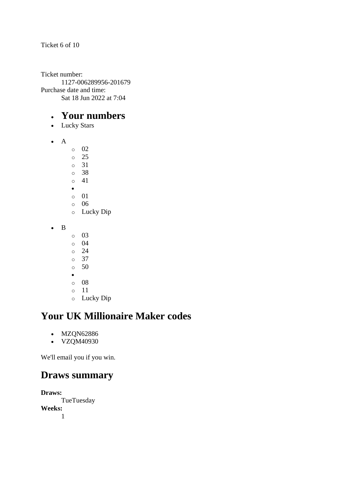Ticket 6 of 10

Ticket number: 1127-006289956-201679 Purchase date and time: Sat 18 Jun 2022 at 7:04

### • **Your numbers**

- Lucky Stars
- A
- o 02
- o 25
- o 31
- o 38 o 41
- •
- o 01
- o 06
- o Lucky Dip
- B
- o 03
- o 04
- o 24
- o 37
- o 50
- •
- o 08 o 11
- 
- o Lucky Dip

# **Your UK Millionaire Maker codes**

- MZQN62886
- **VZQM40930**

We'll email you if you win.

### **Draws summary**

**Draws: TueTuesday Weeks:** 1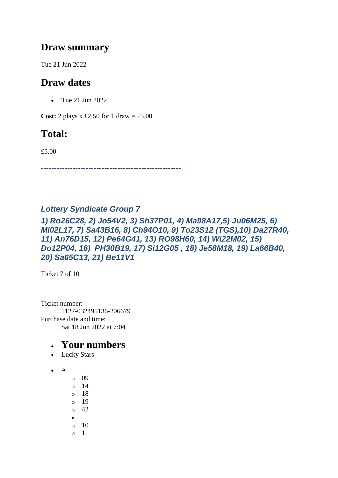### **Draw summary**

Tue 21 Jun 2022

### **Draw dates**

• Tue 21 Jun 2022

**Cost:** 2 plays x £2.50 for 1 draw = £5.00

### **Total:**

£5.00

*-----------------------------------------------------*

#### *Lottery Syndicate Group 7*

*1) Ro26C28, 2) Jo54V2, 3) Sh37P01, 4) Ma98A17,5) Ju06M25, 6) Mi02L17, 7) Sa43B16, 8) Ch94O10, 9) To23S12 (TGS),10) Da27R40, 11) An76D15, 12) Pe64G41, 13) RO98H60, 14) Wi22M02, 15) Do12P04, 16) PH30B19, 17) Si12G05 , 18) Je58M18, 19) La66B40, 20) Sa65C13, 21) Be11V1*

Ticket 7 of 10

Ticket number: 1127-032495136-206679 Purchase date and time: Sat 18 Jun 2022 at 7:04

- Lucky Stars
- A
	- o 09 o 14 o 18 o 19  $\circ$  42 • o 10 o 11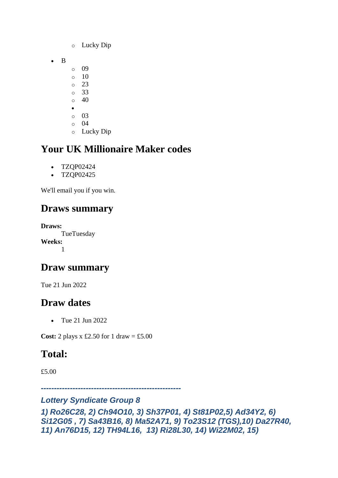- o Lucky Dip
- B
	- o 09
	- $\circ$  10
	- $\circ$  23 o 33
	- $\circ$  40
	- •
	- o 03
	- $\circ$  04
	- o Lucky Dip

- TZQP02424
- TZQP02425

We'll email you if you win.

# **Draws summary**

**Draws:** TueTuesday **Weeks:** 1

# **Draw summary**

Tue 21 Jun 2022

# **Draw dates**

• Tue 21 Jun 2022

**Cost:** 2 plays x £2.50 for 1 draw = £5.00

# **Total:**

£5.00

*-----------------------------------------------------*

#### *Lottery Syndicate Group 8*

```
1) Ro26C28, 2) Ch94O10, 3) Sh37P01, 4) St81P02,5) Ad34Y2, 6) 
Si12G05 , 7) Sa43B16, 8) Ma52A71, 9) To23S12 (TGS),10) Da27R40, 
11) An76D15, 12) TH94L16, 13) Ri28L30, 14) Wi22M02, 15)
```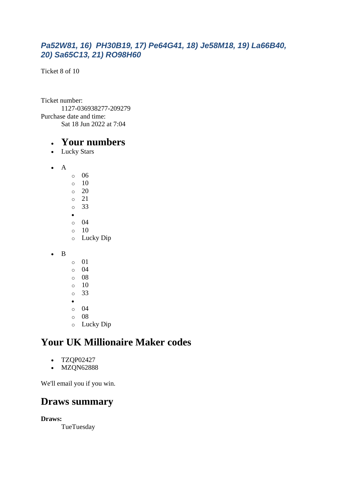#### *Pa52W81, 16) PH30B19, 17) Pe64G41, 18) Je58M18, 19) La66B40, 20) Sa65C13, 21) RO98H60*

Ticket 8 of 10

Ticket number: 1127-036938277-209279 Purchase date and time: Sat 18 Jun 2022 at 7:04

#### • **Your numbers**

- Lucky Stars
- A
- o 06  $\circ$  10  $\circ$  20 o 21 o 33 • o 04  $\circ$  10 o Lucky Dip
- B
- o 01
- o 04
- o 08
- $\circ$  10
- o 33 •
- o 04
- o 08
- o Lucky Dip

### **Your UK Millionaire Maker codes**

- TZQP02427
- MZQN62888

We'll email you if you win.

### **Draws summary**

**Draws:**

**TueTuesday**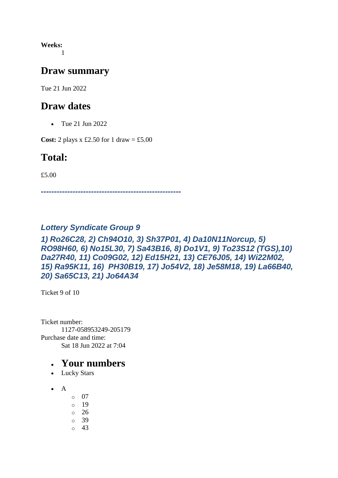**Weeks:** 1

### **Draw summary**

Tue 21 Jun 2022

### **Draw dates**

• Tue 21 Jun 2022

**Cost:** 2 plays x £2.50 for 1 draw = £5.00

### **Total:**

£5.00

*-----------------------------------------------------*

#### *Lottery Syndicate Group 9*

#### *1) Ro26C28, 2) Ch94O10, 3) Sh37P01, 4) Da10N11Norcup, 5) RO98H60, 6) No15L30, 7) Sa43B16, 8) Do1V1, 9) To23S12 (TGS),10) Da27R40, 11) Co09G02, 12) Ed15H21, 13) CE76J05, 14) Wi22M02, 15) Ra95K11, 16) PH30B19, 17) Jo54V2, 18) Je58M18, 19) La66B40, 20) Sa65C13, 21) Jo64A34*

Ticket 9 of 10

Ticket number: 1127-058953249-205179 Purchase date and time: Sat 18 Jun 2022 at 7:04

- Lucky Stars
- $\bullet$  A
	- o 07
	- o 19
	- o 26
	- o 39
	- o 43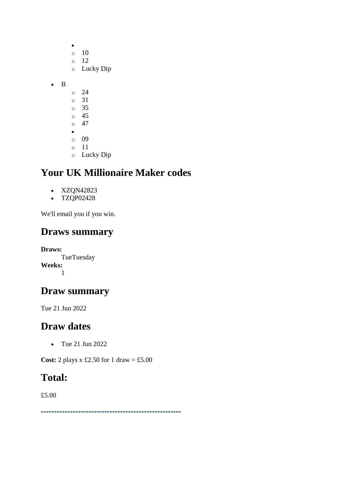|   | $\circ$<br>$\circ$<br>$\circ$ | 10<br>12<br>Lucky Dip |
|---|-------------------------------|-----------------------|
| B |                               |                       |
|   | O                             | 24                    |
|   | $\circ$                       | 31                    |
|   | $\circ$                       | 35                    |
|   | $\circ$                       | 45                    |
|   | $\circ$                       | 47                    |
|   | $\bullet$                     |                       |
|   | O                             | 09                    |
|   | $\circ$                       | 11                    |
|   | $\circ$                       | Lucky Dip             |

- XZQN42823
- TZQP02428

We'll email you if you win.

### **Draws summary**

**Draws: TueTuesday Weeks:** 1

### **Draw summary**

Tue 21 Jun 2022

### **Draw dates**

• Tue 21 Jun 2022

**Cost:** 2 plays x £2.50 for 1 draw = £5.00

### **Total:**

£5.00

*-----------------------------------------------------*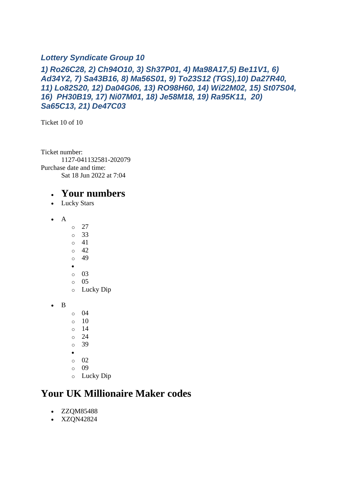#### *Lottery Syndicate Group 10*

#### *1) Ro26C28, 2) Ch94O10, 3) Sh37P01, 4) Ma98A17,5) Be11V1, 6) Ad34Y2, 7) Sa43B16, 8) Ma56S01, 9) To23S12 (TGS),10) Da27R40, 11) Lo82S20, 12) Da04G06, 13) RO98H60, 14) Wi22M02, 15) St07S04, 16) PH30B19, 17) Ni07M01, 18) Je58M18, 19) Ra95K11, 20) Sa65C13, 21) De47C03*

Ticket 10 of 10

Ticket number: 1127-041132581-202079 Purchase date and time: Sat 18 Jun 2022 at 7:04

#### • **Your numbers**

- Lucky Stars
- A
- $\circ$  27
- o 33
- o 41
- $\circ$  42 o 49
- •
- o 03
- $\circ$  05
- o Lucky Dip
- B
- o 04
- $\circ$  10
- o 14
- o 24
- o 39
- •
- $\circ$  02
- o 09
- o Lucky Dip

### **Your UK Millionaire Maker codes**

- ZZQM85488
- XZQN42824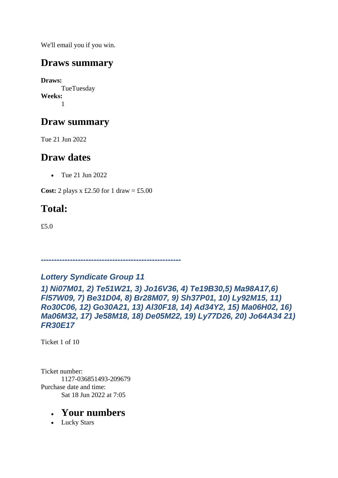We'll email you if you win.

### **Draws summary**

**Draws:** TueTuesday **Weeks:** 1

# **Draw summary**

Tue 21 Jun 2022

## **Draw dates**

• Tue 21 Jun 2022

**Cost:** 2 plays x £2.50 for 1 draw = £5.00

# **Total:**

£5.0

# *Lottery Syndicate Group 11*

*-----------------------------------------------------*

*1) Ni07M01, 2) Te51W21, 3) Jo16V36, 4) Te19B30,5) Ma98A17,6) Fl57W09, 7) Be31D04, 8) Br28M07, 9) Sh37P01, 10) Ly92M15, 11) Ro30C06, 12) Go30A21, 13) Al30F18, 14) Ad34Y2, 15) Ma06H02, 16) Ma06M32, 17) Je58M18, 18) De05M22, 19) Ly77D26, 20) Jo64A34 21) FR30E17*

Ticket 1 of 10

Ticket number: 1127-036851493-209679 Purchase date and time: Sat 18 Jun 2022 at 7:05

### • **Your numbers**

• Lucky Stars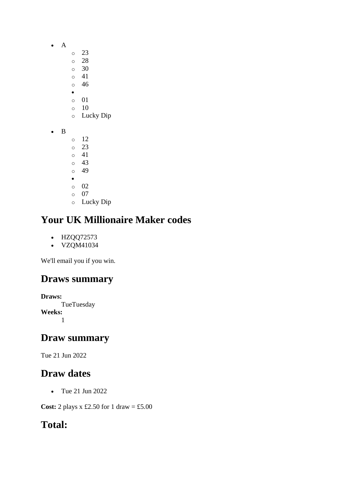- A
	- o 23
		- o 28
		- $\circ$  30
		- o 41 o 46
		- •
		- o 01
		- o 10
		- o Lucky Dip
- B
- o 12 o 23 o 41 o 43 o 49 • o 02 o 07
- o Lucky Dip

- HZQQ72573
- VZQM41034

We'll email you if you win.

# **Draws summary**

**Draws: TueTuesday Weeks:** 1

## **Draw summary**

Tue 21 Jun 2022

# **Draw dates**

• Tue 21 Jun 2022

**Cost:** 2 plays x £2.50 for 1 draw = £5.00

# **Total:**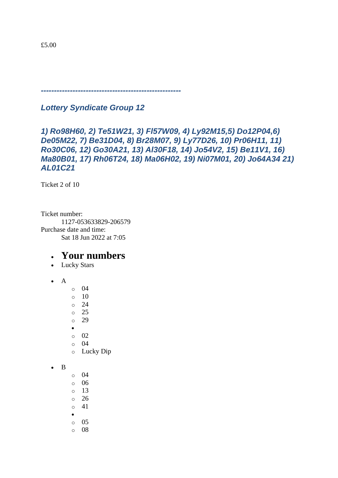*-----------------------------------------------------*

*Lottery Syndicate Group 12*

#### *1) Ro98H60, 2) Te51W21, 3) Fl57W09, 4) Ly92M15,5) Do12P04,6) De05M22, 7) Be31D04, 8) Br28M07, 9) Ly77D26, 10) Pr06H11, 11) Ro30C06, 12) Go30A21, 13) Al30F18, 14) Jo54V2, 15) Be11V1, 16) Ma80B01, 17) Rh06T24, 18) Ma06H02, 19) Ni07M01, 20) Jo64A34 21) AL01C21*

Ticket 2 of 10

Ticket number: 1127-053633829-206579 Purchase date and time: Sat 18 Jun 2022 at 7:05

- Lucky Stars
- $\bullet$  A
- o 04
- $\circ$  10
- $\circ$  24
- o 25
- o 29
- •
- o 02
- o 04 o Lucky Dip
- B
- o 04
- o 06
- o 13
- o 26
- o 41
- •
- o 05 o 08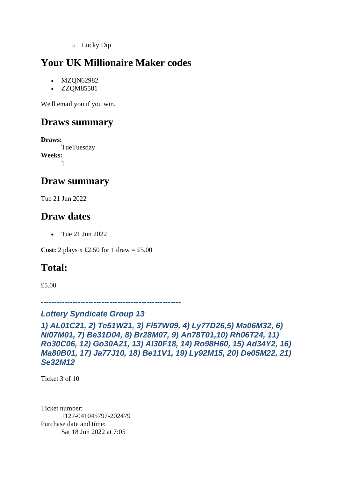o Lucky Dip

# **Your UK Millionaire Maker codes**

- MZQN62982
- ZZQM85581

We'll email you if you win.

### **Draws summary**

**Draws: TueTuesday Weeks:** 1

### **Draw summary**

Tue 21 Jun 2022

### **Draw dates**

• Tue 21 Jun 2022

**Cost:** 2 plays x £2.50 for 1 draw = £5.00

### **Total:**

£5.00

*-----------------------------------------------------*

#### *Lottery Syndicate Group 13*

*1) AL01C21, 2) Te51W21, 3) Fl57W09, 4) Ly77D26,5) Ma06M32, 6) Ni07M01, 7) Be31D04, 8) Br28M07, 9) An78T01,10) Rh06T24, 11) Ro30C06, 12) Go30A21, 13) Al30F18, 14) Ro98H60, 15) Ad34Y2, 16) Ma80B01, 17) Ja77J10, 18) Be11V1, 19) Ly92M15, 20) De05M22, 21) Se32M12*

Ticket 3 of 10

Ticket number: 1127-041045797-202479 Purchase date and time: Sat 18 Jun 2022 at 7:05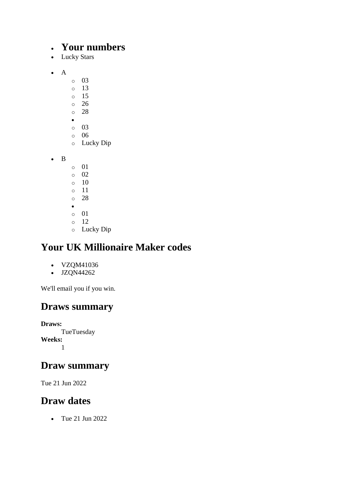### • **Your numbers**

- Lucky Stars
- A
- o 03
- o 13
- o 15
- o 26 o 28
- •
- o 03
- o 06
- o Lucky Dip

• B

- o 01 o 02 o 10 o 11 o 28 •
- o 01
- o 12
- o Lucky Dip

# **Your UK Millionaire Maker codes**

- VZQM41036
- JZQN44262

We'll email you if you win.

# **Draws summary**

**Draws: TueTuesday Weeks:** 1

## **Draw summary**

Tue 21 Jun 2022

# **Draw dates**

• Tue 21 Jun 2022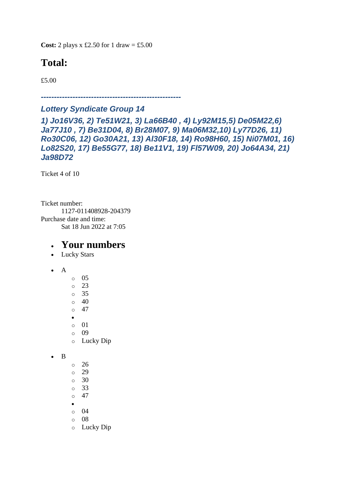**Cost:** 2 plays x £2.50 for 1 draw = £5.00

# **Total:**

£5.00

*-----------------------------------------------------*

#### *Lottery Syndicate Group 14*

*1) Jo16V36, 2) Te51W21, 3) La66B40 , 4) Ly92M15,5) De05M22,6) Ja77J10 , 7) Be31D04, 8) Br28M07, 9) Ma06M32,10) Ly77D26, 11) Ro30C06, 12) Go30A21, 13) Al30F18, 14) Ro98H60, 15) Ni07M01, 16) Lo82S20, 17) Be55G77, 18) Be11V1, 19) Fl57W09, 20) Jo64A34, 21) Ja98D72*

Ticket 4 of 10

Ticket number: 1127-011408928-204379 Purchase date and time: Sat 18 Jun 2022 at 7:05

- Lucky Stars
- A
- o 05 o 23 o 35
- o 40 o 47
- 
- •
- o 01 o 09
- o Lucky Dip

```
• B
```
- o 26
- o 29
- o 30 o 33
- $\circ$  47
- •
- o 04
- o 08
- o Lucky Dip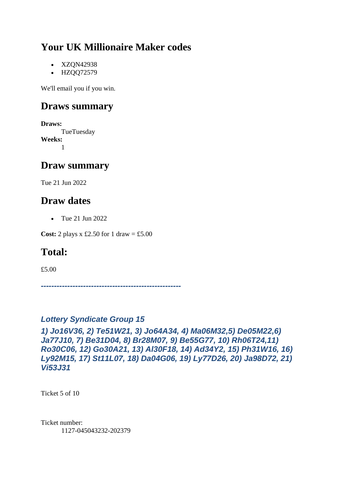- XZQN42938
- HZQQ72579

We'll email you if you win.

## **Draws summary**

**Draws:** TueTuesday **Weeks:** 1

## **Draw summary**

Tue 21 Jun 2022

## **Draw dates**

• Tue 21 Jun 2022

**Cost:** 2 plays x £2.50 for 1 draw = £5.00

# **Total:**

£5.00

*-----------------------------------------------------*

#### *Lottery Syndicate Group 15*

*1) Jo16V36, 2) Te51W21, 3) Jo64A34, 4) Ma06M32,5) De05M22,6) Ja77J10, 7) Be31D04, 8) Br28M07, 9) Be55G77, 10) Rh06T24,11) Ro30C06, 12) Go30A21, 13) Al30F18, 14) Ad34Y2, 15) Ph31W16, 16) Ly92M15, 17) St11L07, 18) Da04G06, 19) Ly77D26, 20) Ja98D72, 21) Vi53J31*

Ticket 5 of 10

Ticket number: 1127-045043232-202379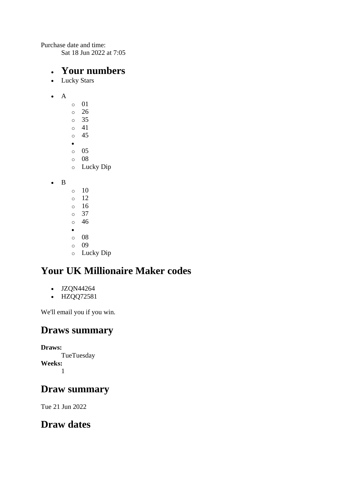Purchase date and time:

Sat 18 Jun 2022 at 7:05

#### • **Your numbers**

- Lucky Stars
- A
- o 01 o 26 o 35  $\circ$  41 o 45 • o 05 o 08 o Lucky Dip
- B
- $\circ$  10
- o 12
- o 16 o 37
- o 46
- •
- o 08
- o 09
- o Lucky Dip

# **Your UK Millionaire Maker codes**

- JZQN44264
- HZQQ72581

We'll email you if you win.

### **Draws summary**

**Draws: TueTuesday** 

**Weeks:** 1

## **Draw summary**

Tue 21 Jun 2022

## **Draw dates**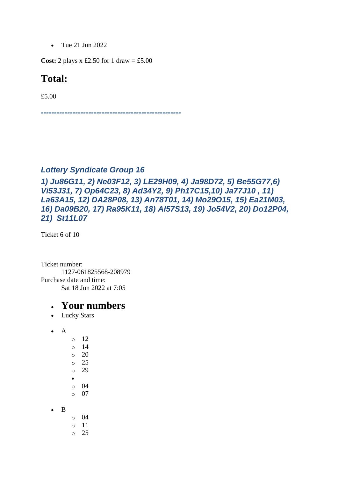• Tue 21 Jun 2022

**Cost:** 2 plays x £2.50 for 1 draw = £5.00

#### **Total:**

£5.00

*-----------------------------------------------------*

#### *Lottery Syndicate Group 16*

*1) Ju86G11, 2) Ne03F12, 3) LE29H09, 4) Ja98D72, 5) Be55G77,6) Vi53J31, 7) Op64C23, 8) Ad34Y2, 9) Ph17C15,10) Ja77J10 , 11) La63A15, 12) DA28P08, 13) An78T01, 14) Mo29O15, 15) Ea21M03, 16) Da09B20, 17) Ra95K11, 18) Al57S13, 19) Jo54V2, 20) Do12P04, 21) St11L07*

Ticket 6 of 10

Ticket number: 1127-061825568-208979 Purchase date and time: Sat 18 Jun 2022 at 7:05

- Lucky Stars
- $\bullet$  A
- o 12 o 14  $\circ$  20 o 25 o 29 • o 04 o 07
- B
- o 04
- o 11  $\circ$  25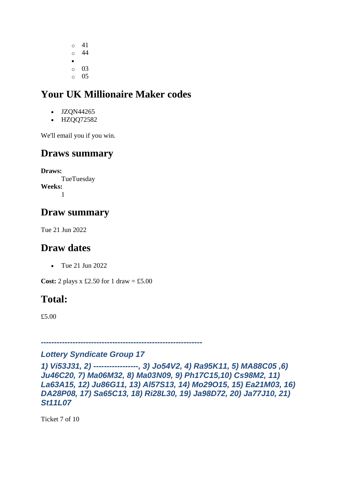o 41 o 44 •  $\circ$  03  $\circ$  05

# **Your UK Millionaire Maker codes**

- JZON44265
- HZQQ72582

We'll email you if you win.

### **Draws summary**

**Draws: TueTuesday Weeks:** 1

### **Draw summary**

Tue 21 Jun 2022

### **Draw dates**

• Tue 21 Jun 2022

**Cost:** 2 plays x £2.50 for 1 draw = £5.00

## **Total:**

£5.00

*-------------------------------------------------------------*

#### *Lottery Syndicate Group 17*

```
1) Vi53J31, 2) -----------------, 3) Jo54V2, 4) Ra95K11, 5) MA88C05 ,6) 
Ju46C20, 7) Ma06M32, 8) Ma03N09, 9) Ph17C15,10) Cs98M2, 11) 
La63A15, 12) Ju86G11, 13) Al57S13, 14) Mo29O15, 15) Ea21M03, 16) 
DA28P08, 17) Sa65C13, 18) Ri28L30, 19) Ja98D72, 20) Ja77J10, 21) 
St11L07
```
Ticket 7 of 10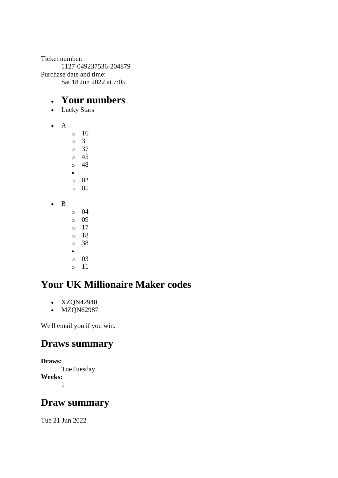Ticket number: 1127-049237536-204879 Purchase date and time: Sat 18 Jun 2022 at 7:05

#### • **Your numbers**

- Lucky Stars
- A

o 16 o 31 o 37 o 45 o 48 • o 02 o 05 • B o 04 o 09

 $\circ$  17 o 18 o 38 • o 03 o 11

# **Your UK Millionaire Maker codes**

- XZQN42940
- MZQN62987

We'll email you if you win.

### **Draws summary**

```
Draws:
      TueTuesday
Weeks:
      1
```
## **Draw summary**

Tue 21 Jun 2022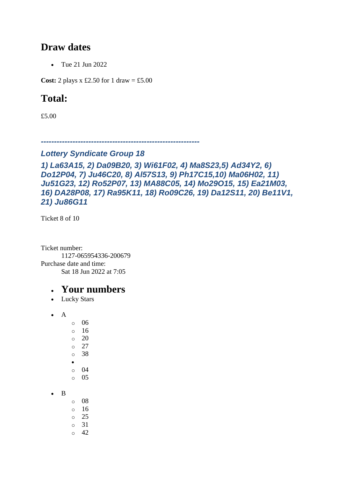### **Draw dates**

• Tue 21 Jun 2022

**Cost:** 2 plays x £2.50 for 1 draw = £5.00

## **Total:**

£5.00

*------------------------------------------------------------*

#### *Lottery Syndicate Group 18*

```
1) La63A15, 2) Da09B20, 3) Wi61F02, 4) Ma8S23,5) Ad34Y2, 6) 
Do12P04, 7) Ju46C20, 8) Al57S13, 9) Ph17C15,10) Ma06H02, 11) 
Ju51G23, 12) Ro52P07, 13) MA88C05, 14) Mo29O15, 15) Ea21M03, 
16) DA28P08, 17) Ra95K11, 18) Ro09C26, 19) Da12S11, 20) Be11V1, 
21) Ju86G11
```
Ticket 8 of 10

Ticket number: 1127-065954336-200679 Purchase date and time: Sat 18 Jun 2022 at 7:05

### • **Your numbers**

• Lucky Stars

 $\bullet$  A

o 06 o 16 o 20 o 27 o 38 • o 04  $\circ$  05

• B o 08  $\circ$  16 o 25 o 31

 $\circ$  42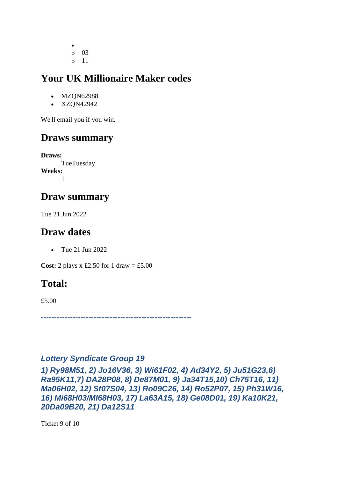• o 03 o 11

## **Your UK Millionaire Maker codes**

- MZQN62988
- XZQN42942

We'll email you if you win.

# **Draws summary**

**Draws:** TueTuesday **Weeks:** 1

# **Draw summary**

Tue 21 Jun 2022

# **Draw dates**

• Tue 21 Jun 2022

**Cost:** 2 plays x £2.50 for 1 draw = £5.00

# **Total:**

£5.00

*---------------------------------------------------------*

#### *Lottery Syndicate Group 19*

*1) Ry98M51, 2) Jo16V36, 3) Wi61F02, 4) Ad34Y2, 5) Ju51G23,6) Ra95K11,7) DA28P08, 8) De87M01, 9) Ja34T15,10) Ch75T16, 11) Ma06H02, 12) St07S04, 13) Ro09C26, 14) Ro52P07, 15) Ph31W16, 16) Mi68H03/MI68H03, 17) La63A15, 18) Ge08D01, 19) Ka10K21, 20Da09B20, 21) Da12S11*

Ticket 9 of 10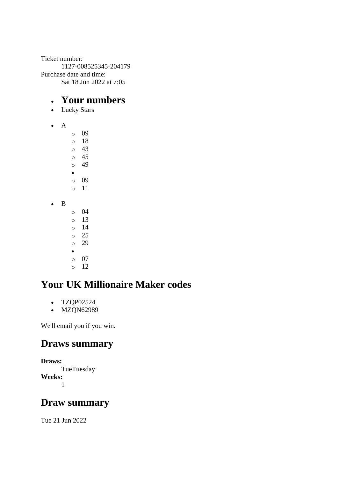Ticket number: 1127-008525345-204179 Purchase date and time: Sat 18 Jun 2022 at 7:05

#### • **Your numbers**

- Lucky Stars
- A

o 09 o 18  $\circ$  43 o 45 o 49 • o 09 o 11 • B o 04 o 13  $\circ$  14 o 25 o 29 • o 07  $\circ$  12

# **Your UK Millionaire Maker codes**

- TZQP02524
- MZQN62989

We'll email you if you win.

### **Draws summary**

```
Draws:
      TueTuesday
Weeks:
      1
```
### **Draw summary**

Tue 21 Jun 2022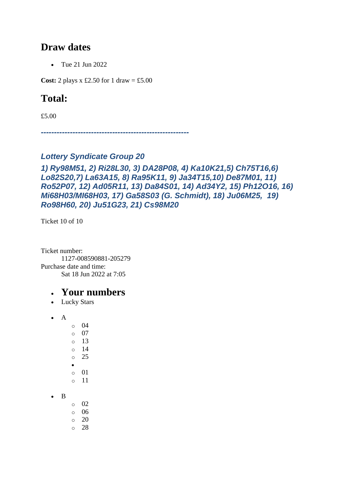### **Draw dates**

• Tue 21 Jun 2022

**Cost:** 2 plays x £2.50 for 1 draw = £5.00

## **Total:**

£5.00

*--------------------------------------------------------*

#### *Lottery Syndicate Group 20*

#### *1) Ry98M51, 2) Ri28L30, 3) DA28P08, 4) Ka10K21,5) Ch75T16,6) Lo82S20,7) La63A15, 8) Ra95K11, 9) Ja34T15,10) De87M01, 11) Ro52P07, 12) Ad05R11, 13) Da84S01, 14) Ad34Y2, 15) Ph12O16, 16) Mi68H03/MI68H03, 17) Ga58S03 (G. Schmidt), 18) Ju06M25, 19) Ro98H60, 20) Ju51G23, 21) Cs98M20*

Ticket 10 of 10

Ticket number: 1127-008590881-205279 Purchase date and time: Sat 18 Jun 2022 at 7:05

#### • **Your numbers**

• Lucky Stars

• A

o 04  $\circ$  07 o 13 o 14 o 25 • o 01 o 11

• B

- o 02 o 06
- $\circ$  20
- o 28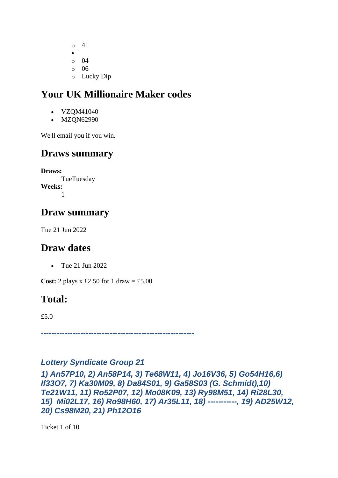- o 41
- o 04
- $\circ$  06
- o Lucky Dip

- VZOM41040
- MZQN62990

We'll email you if you win.

# **Draws summary**

**Draws: TueTuesday Weeks:** 1

# **Draw summary**

Tue 21 Jun 2022

# **Draw dates**

• Tue 21 Jun 2022

**Cost:** 2 plays x £2.50 for 1 draw = £5.00

# **Total:**

£5.0

*----------------------------------------------------------*

#### *Lottery Syndicate Group 21*

*1) An57P10, 2) An58P14, 3) Te68W11, 4) Jo16V36, 5) Go54H16,6) If33O7, 7) Ka30M09, 8) Da84S01, 9) Ga58S03 (G. Schmidt),10) Te21W11, 11) Ro52P07, 12) Mo08K09, 13) Ry98M51, 14) Ri28L30, 15) Mi02L17, 16) Ro98H60, 17) Ar35L11, 18) -----------, 19) AD25W12, 20) Cs98M20, 21) Ph12O16*

Ticket 1 of 10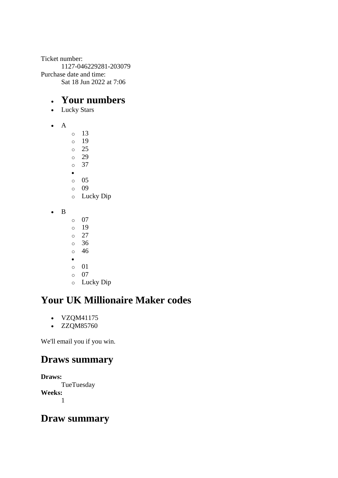Ticket number: 1127-046229281-203079 Purchase date and time: Sat 18 Jun 2022 at 7:06

### • **Your numbers**

- Lucky Stars
- A
- o 13
- o 19 o 25
- o 29
- o 37
- •
- o 05
- o 09
- o Lucky Dip
- B
- o 07
- o 19
- o 27 o 36
- o 46
- •
- o 01
- o 07
- o Lucky Dip

# **Your UK Millionaire Maker codes**

- VZQM41175
- ZZQM85760

We'll email you if you win.

# **Draws summary**

**Draws: TueTuesday Weeks:** 1

## **Draw summary**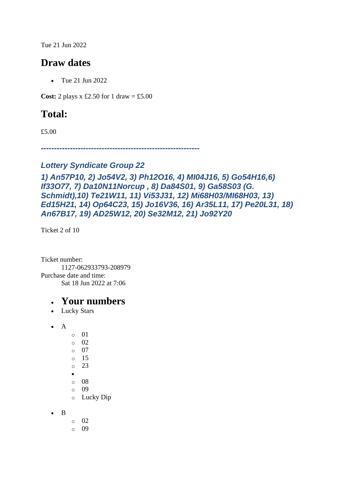Tue 21 Jun 2022

### **Draw dates**

• Tue 21 Jun 2022

**Cost:** 2 plays x £2.50 for 1 draw = £5.00

## **Total:**

£5.00

*------------------------------------------------------------*

#### *Lottery Syndicate Group 22*

```
1) An57P10, 2) Jo54V2, 3) Ph12O16, 4) MI04J16, 5) Go54H16,6) 
If33O77, 7) Da10N11Norcup , 8) Da84S01, 9) Ga58S03 (G. 
Schmidt),10) Te21W11, 11) Vi53J31, 12) Mi68H03/MI68H03, 13) 
Ed15H21, 14) Op64C23, 15) Jo16V36, 16) Ar35L11, 17) Pe20L31, 18) 
An67B17, 19) AD25W12, 20) Se32M12, 21) Jo92Y20
```
Ticket 2 of 10

Ticket number: 1127-062933793-208979 Purchase date and time: Sat 18 Jun 2022 at 7:06

- Lucky Stars
- $\bullet$  A
	- o 01 o 02
	- o 07
	- o 15
	- o 23
	- •
	- o 08
	- o 09
	- o Lucky Dip
- B
- o 02
- $\circ$  09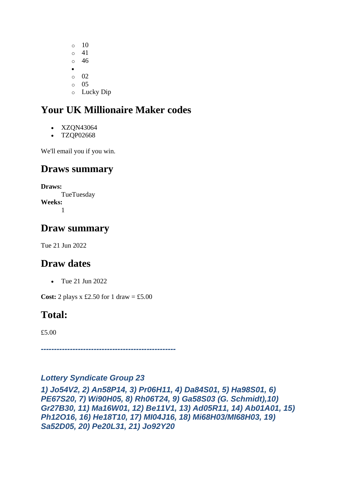$\circ$  10 o 41 o 46 • o 02 o 05 o Lucky Dip

# **Your UK Millionaire Maker codes**

- XZQN43064
- TZQP02668

We'll email you if you win.

### **Draws summary**

**Draws: TueTuesday Weeks:** 1

### **Draw summary**

Tue 21 Jun 2022

## **Draw dates**

• Tue 21 Jun 2022

**Cost:** 2 plays x £2.50 for 1 draw = £5.00

## **Total:**

£5.00

*---------------------------------------------------*

#### *Lottery Syndicate Group 23*

*1) Jo54V2, 2) An58P14, 3) Pr06H11, 4) Da84S01, 5) Ha98S01, 6) PE67S20, 7) Wi90H05, 8) Rh06T24, 9) Ga58S03 (G. Schmidt),10) Gr27B30, 11) Ma16W01, 12) Be11V1, 13) Ad05R11, 14) Ab01A01, 15) Ph12O16, 16) He18T10, 17) MI04J16, 18) Mi68H03/MI68H03, 19) Sa52D05, 20) Pe20L31, 21) Jo92Y20*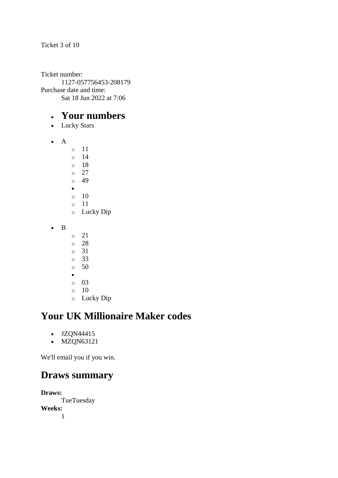Ticket 3 of 10

Ticket number: 1127-057756453-208179 Purchase date and time: Sat 18 Jun 2022 at 7:06

### • **Your numbers**

- Lucky Stars
- A
	- o 11 o 14 o 18 o 27 o 49 •  $\circ$  10 o 11 o Lucky Dip
- B
- o 21
- o 28
- o 31
- o 33
- o 50
- •
- o 03  $\circ$  10
- o Lucky Dip

# **Your UK Millionaire Maker codes**

- JZQN44415
- MZQN63121

We'll email you if you win.

### **Draws summary**

**Draws: TueTuesday Weeks:** 1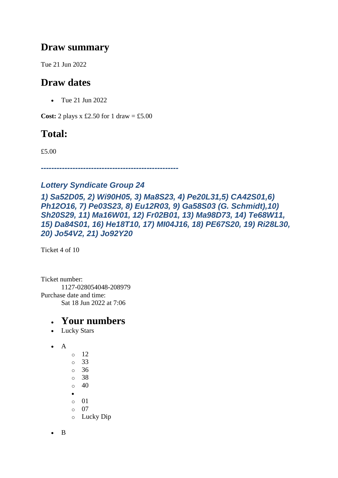### **Draw summary**

Tue 21 Jun 2022

# **Draw dates**

• Tue 21 Jun 2022

**Cost:** 2 plays x £2.50 for 1 draw = £5.00

# **Total:**

£5.00

*----------------------------------------------------*

### *Lottery Syndicate Group 24*

*1) Sa52D05, 2) Wi90H05, 3) Ma8S23, 4) Pe20L31,5) CA42S01,6) Ph12O16, 7) Pe03S23, 8) Eu12R03, 9) Ga58S03 (G. Schmidt),10) Sh20S29, 11) Ma16W01, 12) Fr02B01, 13) Ma98D73, 14) Te68W11, 15) Da84S01, 16) He18T10, 17) MI04J16, 18) PE67S20, 19) Ri28L30, 20) Jo54V2, 21) Jo92Y20*

Ticket 4 of 10

Ticket number: 1127-028054048-208979 Purchase date and time: Sat 18 Jun 2022 at 7:06

- Lucky Stars
- A
- o 12 o 33 o 36 o 38  $\circ$  40 • o 01 o 07 o Lucky Dip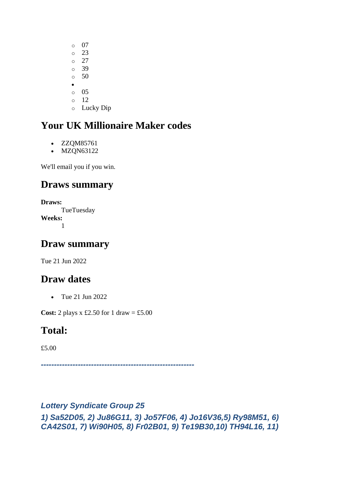- $\circ$  07  $\degree$  23  $\circ$  27 o 39 o 50 • o 05 o 12
- o Lucky Dip

- ZZQM85761
- MZQN63122

We'll email you if you win.

### **Draws summary**

**Draws: TueTuesday Weeks:** 1

### **Draw summary**

Tue 21 Jun 2022

### **Draw dates**

• Tue 21 Jun 2022

**Cost:** 2 plays x £2.50 for 1 draw = £5.00

### **Total:**

£5.00

*----------------------------------------------------------*

#### *Lottery Syndicate Group 25*

*1) Sa52D05, 2) Ju86G11, 3) Jo57F06, 4) Jo16V36,5) Ry98M51, 6) CA42S01, 7) Wi90H05, 8) Fr02B01, 9) Te19B30,10) TH94L16, 11)*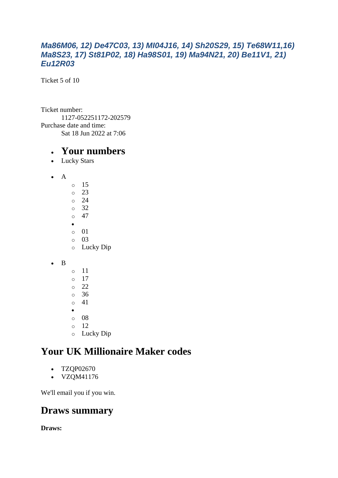#### *Ma86M06, 12) De47C03, 13) MI04J16, 14) Sh20S29, 15) Te68W11,16) Ma8S23, 17) St81P02, 18) Ha98S01, 19) Ma94N21, 20) Be11V1, 21) Eu12R03*

Ticket 5 of 10

Ticket number: 1127-052251172-202579 Purchase date and time: Sat 18 Jun 2022 at 7:06

#### • **Your numbers**

- Lucky Stars
- A
	- o 15 o 23  $\circ$  24 o 32  $\circ$  47 • o 01 o 03 o Lucky Dip
- B
- o 11  $\circ$  17 o 22 o 36 o 41 • o 08 o 12
- o Lucky Dip

# **Your UK Millionaire Maker codes**

- TZQP02670
- VZQM41176

We'll email you if you win.

### **Draws summary**

**Draws:**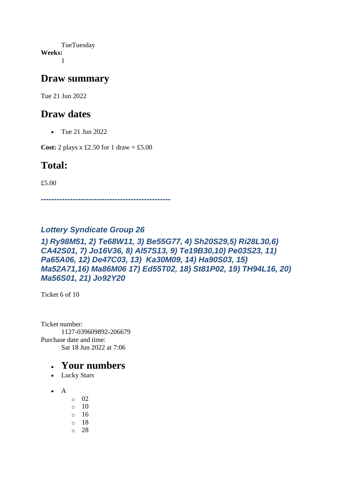TueTuesday **Weeks:** 1

### **Draw summary**

Tue 21 Jun 2022

### **Draw dates**

• Tue 21 Jun 2022

**Cost:** 2 plays x £2.50 for 1 draw = £5.00

### **Total:**

£5.00

*-------------------------------------------------*

#### *Lottery Syndicate Group 26*

#### *1) Ry98M51, 2) Te68W11, 3) Be55G77, 4) Sh20S29,5) Ri28L30,6) CA42S01, 7) Jo16V36, 8) Al57S13, 9) Te19B30,10) Pe03S23, 11) Pa65A06, 12) De47C03, 13) Ka30M09, 14) Ha90S03, 15) Ma52A71,16) Ma86M06 17) Ed55T02, 18) St81P02, 19) TH94L16, 20) Ma56S01, 21) Jo92Y20*

Ticket 6 of 10

Ticket number: 1127-039609892-206679 Purchase date and time: Sat 18 Jun 2022 at 7:06

- Lucky Stars
- $\bullet$  A
- o 02
- $\circ$  10
- o 16
- o 18
- o 28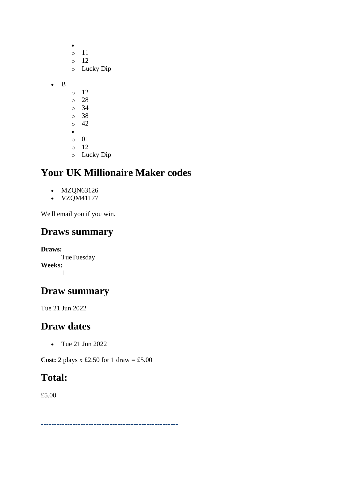|   | O<br>$\circ$<br>$\circ$ | 11<br>12<br>Lucky Dip |
|---|-------------------------|-----------------------|
| B |                         |                       |
|   | O                       | 12                    |
|   | $\circ$                 | 28                    |
|   | $\circ$                 | 34                    |
|   | $\circ$                 | 38                    |
|   | $\circ$                 | 42                    |
|   | $\bullet$               |                       |
|   | $\circ$                 | 01                    |
|   | $\circ$                 | 12                    |
|   | O                       | Lucky Dip             |

- MZQN63126
- **VZQM41177**

We'll email you if you win.

## **Draws summary**

**Draws: TueTuesday Weeks:** 1

## **Draw summary**

Tue 21 Jun 2022

# **Draw dates**

• Tue 21 Jun 2022

**Cost:** 2 plays x £2.50 for 1 draw = £5.00

# **Total:**

£5.00

*----------------------------------------------------*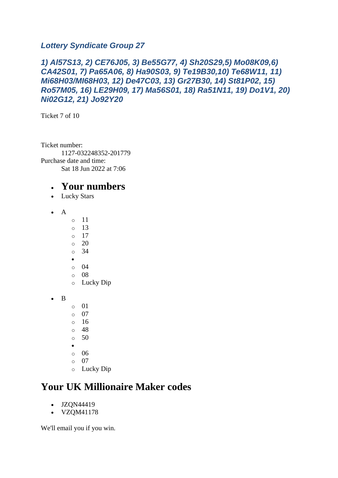#### *Lottery Syndicate Group 27*

#### *1) Al57S13, 2) CE76J05, 3) Be55G77, 4) Sh20S29,5) Mo08K09,6) CA42S01, 7) Pa65A06, 8) Ha90S03, 9) Te19B30,10) Te68W11, 11) Mi68H03/MI68H03, 12) De47C03, 13) Gr27B30, 14) St81P02, 15) Ro57M05, 16) LE29H09, 17) Ma56S01, 18) Ra51N11, 19) Do1V1, 20) Ni02G12, 21) Jo92Y20*

Ticket 7 of 10

Ticket number: 1127-032248352-201779 Purchase date and time: Sat 18 Jun 2022 at 7:06

### • **Your numbers**

- Lucky Stars
- A
- o 11
- $\circ$  13
- $\circ$  17
- o 20 o 34
- •
- o 04
- o 08
- o Lucky Dip

• B

- o 01
- o 07
- $\circ$  16
- o 48  $\circ$  50
- •
- o 06
- o 07
- o Lucky Dip

# **Your UK Millionaire Maker codes**

- JZON44419
- VZQM41178

We'll email you if you win.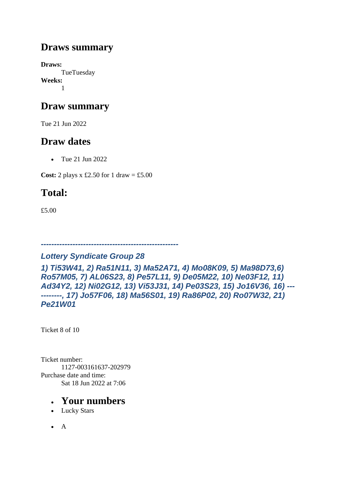### **Draws summary**

**Draws: TueTuesday Weeks:** 1

## **Draw summary**

Tue 21 Jun 2022

## **Draw dates**

• Tue 21 Jun 2022

**Cost:** 2 plays x £2.50 for 1 draw = £5.00

# **Total:**

£5.00

#### *----------------------------------------------------*

#### *Lottery Syndicate Group 28*

*1) Ti53W41, 2) Ra51N11, 3) Ma52A71, 4) Mo08K09, 5) Ma98D73,6) Ro57M05, 7) AL06S23, 8) Pe57L11, 9) De05M22, 10) Ne03F12, 11) Ad34Y2, 12) Ni02G12, 13) Vi53J31, 14) Pe03S23, 15) Jo16V36, 16) --- --------, 17) Jo57F06, 18) Ma56S01, 19) Ra86P02, 20) Ro07W32, 21) Pe21W01*

Ticket 8 of 10

Ticket number: 1127-003161637-202979 Purchase date and time: Sat 18 Jun 2022 at 7:06

- Lucky Stars
- A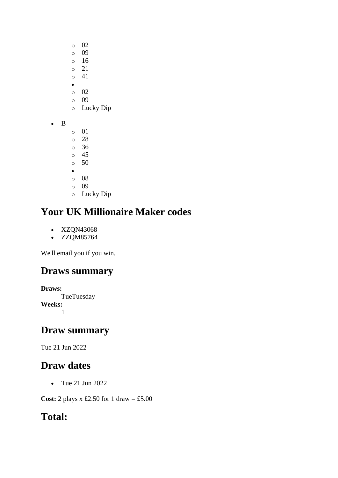- o 02
- o 09
- o 16
- o 21 o 41
- •
- $\circ$  02
- o 09
- o Lucky Dip
- B
- o 01
- o 28
- o 36 o 45
- o 50
- •
- o 08
- o 09
- o Lucky Dip

- XZQN43068
- ZZQM85764

We'll email you if you win.

# **Draws summary**

```
Draws:
      TueTuesday
Weeks:
      1
```
## **Draw summary**

Tue 21 Jun 2022

# **Draw dates**

• Tue 21 Jun 2022

**Cost:** 2 plays x £2.50 for 1 draw = £5.00

# **Total:**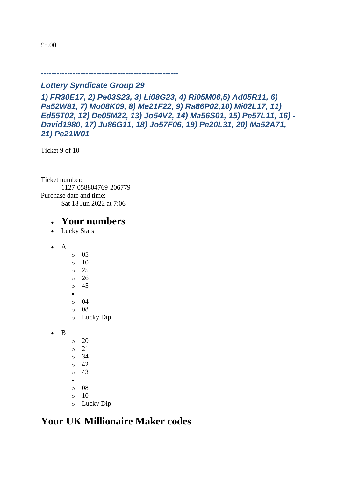£5.00

*----------------------------------------------------*

#### *Lottery Syndicate Group 29*

*1) FR30E17, 2) Pe03S23, 3) Li08G23, 4) Ri05M06,5) Ad05R11, 6) Pa52W81, 7) Mo08K09, 8) Me21F22, 9) Ra86P02,10) Mi02L17, 11) Ed55T02, 12) De05M22, 13) Jo54V2, 14) Ma56S01, 15) Pe57L11, 16) - David1980, 17) Ju86G11, 18) Jo57F06, 19) Pe20L31, 20) Ma52A71, 21) Pe21W01*

Ticket 9 of 10

Ticket number: 1127-058804769-206779 Purchase date and time: Sat 18 Jun 2022 at 7:06

### • **Your numbers**

- Lucky Stars
- A
- o 05  $\circ$  10 o 25 o 26 o 45 • o 04
- o 08
- o Lucky Dip

• B

- $\circ$  20
- o 21
- o 34
- o 42
- o 43
- o 08
- $\circ$  10
- o Lucky Dip

## **Your UK Millionaire Maker codes**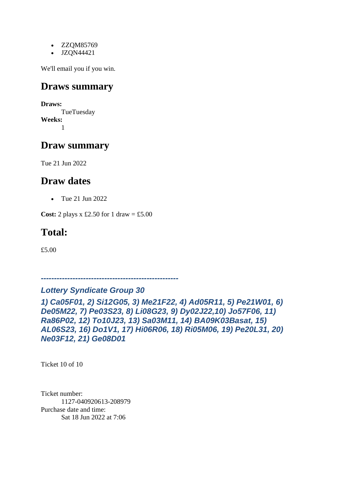- ZZQM85769
- JZQN44421

We'll email you if you win.

### **Draws summary**

**Draws: TueTuesday Weeks:** 1

### **Draw summary**

Tue 21 Jun 2022

### **Draw dates**

• Tue 21 Jun 2022

**Cost:** 2 plays x £2.50 for 1 draw = £5.00

### **Total:**

£5.00

*----------------------------------------------------*

#### *Lottery Syndicate Group 30*

*1) Ca05F01, 2) Si12G05, 3) Me21F22, 4) Ad05R11, 5) Pe21W01, 6) De05M22, 7) Pe03S23, 8) Li08G23, 9) Dy02J22,10) Jo57F06, 11) Ra86P02, 12) To10J23, 13) Sa03M11, 14) BA09K03Basat, 15) AL06S23, 16) Do1V1, 17) Hi06R06, 18) Ri05M06, 19) Pe20L31, 20) Ne03F12, 21) Ge08D01*

Ticket 10 of 10

Ticket number: 1127-040920613-208979 Purchase date and time: Sat 18 Jun 2022 at 7:06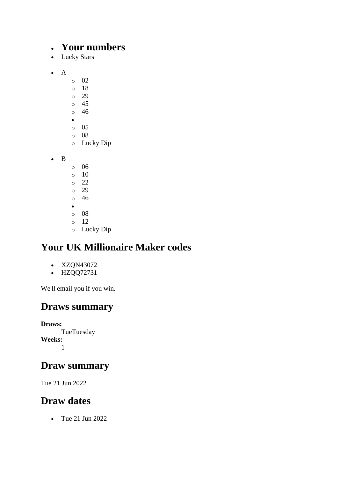### • **Your numbers**

- Lucky Stars
- A
- o 02
- $\circ$  18
- o 29
- o 45 o 46
- •
- $\circ$  05
- o 08
- o Lucky Dip

• B

- o 06
- $\circ$  10
- o 22
- o 29
- o 46 •
- o 08
- o 12
- o Lucky Dip

# **Your UK Millionaire Maker codes**

- XZQN43072
- HZQQ72731

We'll email you if you win.

# **Draws summary**

**Draws: TueTuesday Weeks:** 1

## **Draw summary**

Tue 21 Jun 2022

# **Draw dates**

• Tue 21 Jun 2022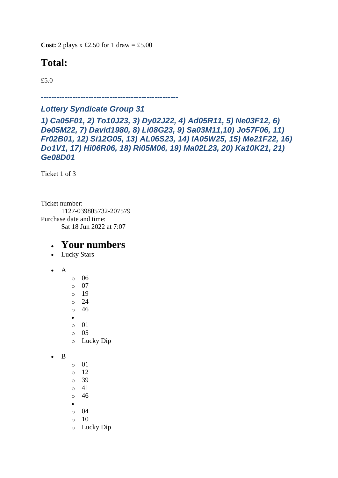**Cost:** 2 plays x £2.50 for 1 draw = £5.00

# **Total:**

£5.0

*----------------------------------------------------*

#### *Lottery Syndicate Group 31*

*1) Ca05F01, 2) To10J23, 3) Dy02J22, 4) Ad05R11, 5) Ne03F12, 6) De05M22, 7) David1980, 8) Li08G23, 9) Sa03M11,10) Jo57F06, 11) Fr02B01, 12) Si12G05, 13) AL06S23, 14) IA05W25, 15) Me21F22, 16) Do1V1, 17) Hi06R06, 18) Ri05M06, 19) Ma02L23, 20) Ka10K21, 21) Ge08D01*

Ticket 1 of 3

Ticket number: 1127-039805732-207579 Purchase date and time: Sat 18 Jun 2022 at 7:07

### • **Your numbers**

- Lucky Stars
- A
- o 06 o 07 o 19 o 24 o 46 • o 01
- $\circ$  05
- o Lucky Dip

```
• B
```
 $\circ$  01 o 12 o 39 o 41 o 46 • o 04  $\circ$  10 o Lucky Dip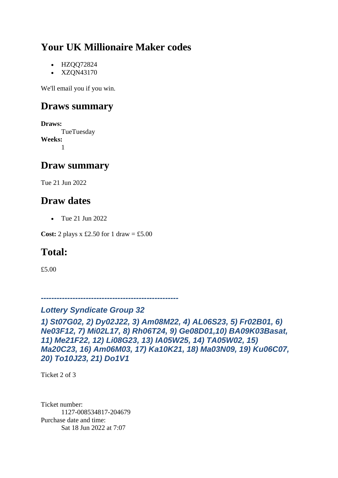- HZQQ72824
- XZQN43170

We'll email you if you win.

### **Draws summary**

**Draws:** TueTuesday **Weeks:** 1

### **Draw summary**

Tue 21 Jun 2022

### **Draw dates**

• Tue 21 Jun 2022

**Cost:** 2 plays x £2.50 for 1 draw = £5.00

# **Total:**

£5.00

*----------------------------------------------------*

#### *Lottery Syndicate Group 32*

*1) St07G02, 2) Dy02J22, 3) Am08M22, 4) AL06S23, 5) Fr02B01, 6) Ne03F12, 7) Mi02L17, 8) Rh06T24, 9) Ge08D01,10) BA09K03Basat, 11) Me21F22, 12) Li08G23, 13) IA05W25, 14) TA05W02, 15) Ma20C23, 16) Am06M03, 17) Ka10K21, 18) Ma03N09, 19) Ku06C07, 20) To10J23, 21) Do1V1*

Ticket 2 of 3

Ticket number: 1127-008534817-204679 Purchase date and time: Sat 18 Jun 2022 at 7:07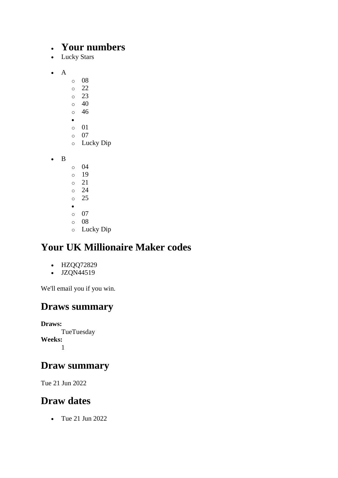### • **Your numbers**

- Lucky Stars
- A
- o 08
- $\degree$  22
- o 23
- $\circ$  40
- o 46 •
- o 01
- o 07
- o Lucky Dip

• B

- o 04
- o 19
- o 21
- o 24
- o 25 •
- o 07
- o 08
- o Lucky Dip

# **Your UK Millionaire Maker codes**

- HZQQ72829
- $\bullet$  JZQN44519

We'll email you if you win.

## **Draws summary**

**Draws: TueTuesday Weeks:** 1

## **Draw summary**

Tue 21 Jun 2022

## **Draw dates**

• Tue 21 Jun 2022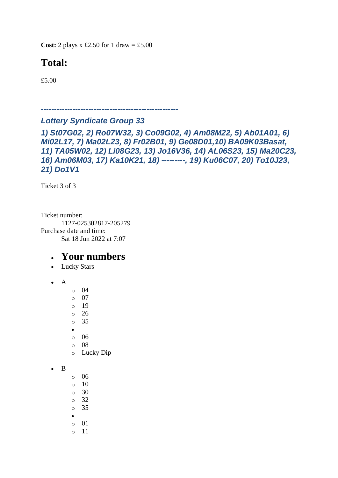**Cost:** 2 plays x £2.50 for 1 draw = £5.00

# **Total:**

£5.00

*----------------------------------------------------*

#### *Lottery Syndicate Group 33*

*1) St07G02, 2) Ro07W32, 3) Co09G02, 4) Am08M22, 5) Ab01A01, 6) Mi02L17, 7) Ma02L23, 8) Fr02B01, 9) Ge08D01,10) BA09K03Basat, 11) TA05W02, 12) Li08G23, 13) Jo16V36, 14) AL06S23, 15) Ma20C23, 16) Am06M03, 17) Ka10K21, 18) ---------, 19) Ku06C07, 20) To10J23, 21) Do1V1*

Ticket 3 of 3

Ticket number: 1127-025302817-205279 Purchase date and time: Sat 18 Jun 2022 at 7:07

- Lucky Stars
- $\bullet$  A
- o 04
- $\circ$  07
- o 19
- o 26
- o 35
- •
- o 06
- o 08
- o Lucky Dip
- B
- o 06
- o 10
- $\circ$  30
- o 32
- o 35
- •
- o 01 o 11